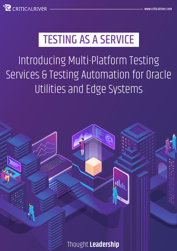

# TESTING AS A SERVICE

Introducing Multi-Platform Testing Services & Testing Automation for Oracle Utilities and Edge Systems

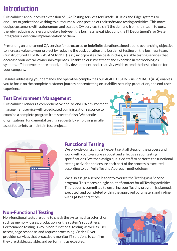# **Introduction**

CriticalRiver announces its extension of QA/ Testing services for Oracle Utilities and Edge systems to end-user organizations wishing to outsource all or a portion of their software testing activities. This move equips customers with autonomous and scalable QA services to shift the demand from their team to ours, thereby reducing barriers and delays between the business' great ideas and the IT Department's, or System Integrator's, eventual implementation of them.

Presenting an end-to-end QA service for structured or indefinite durations aimed at one overarching objective to increase value to your project by reducing the cost, duration and burden of testing on the business team. Our structured TESTING AS A SERVICE (TaaS) incorporates the best-in-class, scalable testing services that decrease your overall ownership expenses. Thanks to our investment and expertise in methodologies, systems, offshore/nearshore model, quality development, and creativity which extend the best solution for your company.

Besides addressing your demands and operative complexities our AGILE TESTING APPROACH (ATA) enables you to focus on the complete customer journey concentrating on usability, security, production, and end-user experience.

# Test Environment Management

CriticalRiver renders a comprehensive end-to-end QA environment management service with a dedicated administration resource to examine a complete program from start to finish. We handle organizations' fundamental testing requests by employing smaller asset footprints to maintain test projects.





# Functional Testing

We provide our significant expertise at all steps of the process and work with you to ensure a robust and effective set of testing specifications. We then assign qualified staff to perform the functional testing activities and ensure each part of the process is executed according to our Agile Testing Approach methodology.

We also assign a senior leader to oversee the Testing as a Service program. This means a single point of contact for all Testing activities. This leader is committed to ensuring your Testing program is planned, executed, and completed within the approved parameters and in-line with QA best practices.

# Non-Functional Testing

Non-functional tests are done to check the system's characteristics, such as memory losses, production, or the system's robustness. Performance testing is key in non-functional testing, as well as user access, page response, and request processing. CriticalRiver provides services that proactively monitor IT solutions to confirm they are stable, scalable, and performing as expected.

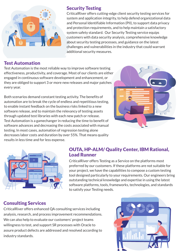

## Test Automation

#### Test Automation is the most reliable way to improve software testing effectiveness, productivity, and coverage. Most of our clients are either engaged in continuous software development and enhancement, or they are obliged to support 3 or more new releases and major patches every year.

Both scenarios demand constant testing activity. The benefits of automation are to break the cycle of endless and repetitious testing, to enable instant feedback on the business risks linked to a new software release, and to maintain the relevancy of testing assets through updated test libraries with each new patch or release. Test Automation is a gamechanger in reducing the time to benefit of software advances and decreasing the costs associated with manual testing. In most cases, automation of regression testing alone decreases labor costs and duration by over 55%. That means quality results in less time and for less expense.





## OUTA, HP-ALM/ Quality Center, IBM Rational, Load Runner

CriticalRiver offers Testing as a Service on the platforms most preferred by our customers. If these platforms are not suitable for your project, we have the capabilities to compose a custom testing tool designed particularly to your requirements. Our engineers bring outstanding technical knowledge and expertise in using the latest software platforms, tools, frameworks, technologies, and standards to satisfy your Testing needs.

# Consulting Services

CriticalRiver offers enhanced QA consulting services including analysis, research, and process improvement recommendations. We can also help to evaluate our customers' project teams willingness to test, and support SR processes with Oracle to assure product defects are addressed and resolved according to industry standards.



#### Security Testing

CriticalRiver offers cutting-edge client security testing services for system and application integrity, to help defend organizational data and Personal Identifiable Information (PII), to support data privacy and protection requirements, and to help maintain a satisfactory system safety standard. Our Security Testing service equips customers with data security analysis, comprehensive knowledge about security testing processes, and guidance on the latest challenges and vulnerabilities in the industry that could warrant additional security measures.